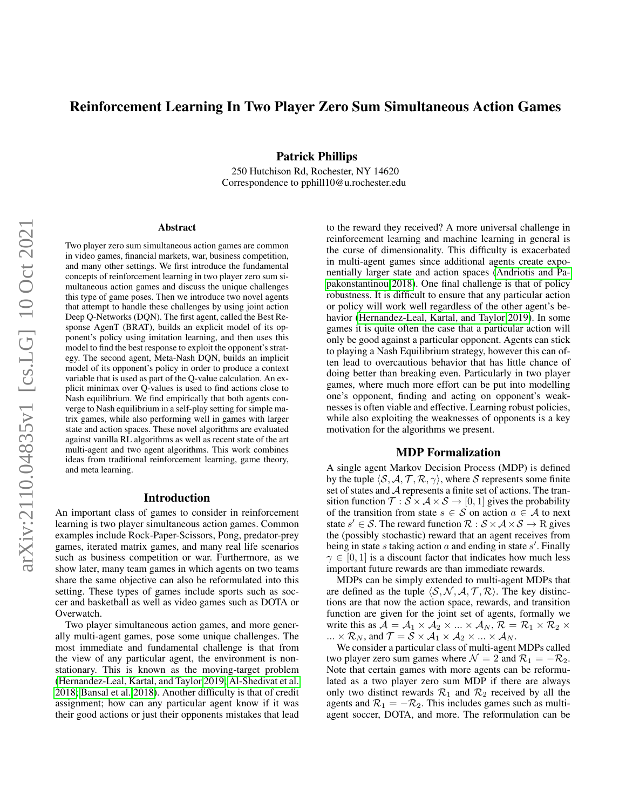# Reinforcement Learning In Two Player Zero Sum Simultaneous Action Games

Patrick Phillips

250 Hutchison Rd, Rochester, NY 14620 Correspondence to pphill10@u.rochester.edu

#### Abstract

Two player zero sum simultaneous action games are common in video games, financial markets, war, business competition, and many other settings. We first introduce the fundamental concepts of reinforcement learning in two player zero sum simultaneous action games and discuss the unique challenges this type of game poses. Then we introduce two novel agents that attempt to handle these challenges by using joint action Deep Q-Networks (DQN). The first agent, called the Best Response AgenT (BRAT), builds an explicit model of its opponent's policy using imitation learning, and then uses this model to find the best response to exploit the opponent's strategy. The second agent, Meta-Nash DQN, builds an implicit model of its opponent's policy in order to produce a context variable that is used as part of the Q-value calculation. An explicit minimax over Q-values is used to find actions close to Nash equilibrium. We find empirically that both agents converge to Nash equilibrium in a self-play setting for simple matrix games, while also performing well in games with larger state and action spaces. These novel algorithms are evaluated against vanilla RL algorithms as well as recent state of the art multi-agent and two agent algorithms. This work combines ideas from traditional reinforcement learning, game theory, and meta learning.

## Introduction

An important class of games to consider in reinforcement learning is two player simultaneous action games. Common examples include Rock-Paper-Scissors, Pong, predator-prey games, iterated matrix games, and many real life scenarios such as business competition or war. Furthermore, as we show later, many team games in which agents on two teams share the same objective can also be reformulated into this setting. These types of games include sports such as soccer and basketball as well as video games such as DOTA or Overwatch.

Two player simultaneous action games, and more generally multi-agent games, pose some unique challenges. The most immediate and fundamental challenge is that from the view of any particular agent, the environment is nonstationary. This is known as the moving-target problem [\(Hernandez-Leal, Kartal, and Taylor 2019;](#page-6-0) [Al-Shedivat et al.](#page-6-1) [2018;](#page-6-1) [Bansal et al. 2018\)](#page-6-2). Another difficulty is that of credit assignment; how can any particular agent know if it was their good actions or just their opponents mistakes that lead to the reward they received? A more universal challenge in reinforcement learning and machine learning in general is the curse of dimensionality. This difficulty is exacerbated in multi-agent games since additional agents create exponentially larger state and action spaces [\(Andriotis and Pa](#page-6-3)[pakonstantinou 2018\)](#page-6-3). One final challenge is that of policy robustness. It is difficult to ensure that any particular action or policy will work well regardless of the other agent's behavior [\(Hernandez-Leal, Kartal, and Taylor 2019\)](#page-6-0). In some games it is quite often the case that a particular action will only be good against a particular opponent. Agents can stick to playing a Nash Equilibrium strategy, however this can often lead to overcautious behavior that has little chance of doing better than breaking even. Particularly in two player games, where much more effort can be put into modelling one's opponent, finding and acting on opponent's weaknesses is often viable and effective. Learning robust policies, while also exploiting the weaknesses of opponents is a key motivation for the algorithms we present.

#### MDP Formalization

A single agent Markov Decision Process (MDP) is defined by the tuple  $\langle S, A, T, R, \gamma \rangle$ , where S represents some finite set of states and A represents a finite set of actions. The transition function  $\mathcal{T}: \mathcal{S} \times \mathcal{A} \times \mathcal{S} \rightarrow [0, 1]$  gives the probability of the transition from state  $s \in S$  on action  $a \in A$  to next state  $s' \in S$ . The reward function  $\mathcal{R}: \mathcal{S} \times \mathcal{A} \times \mathcal{S} \rightarrow \mathbb{R}$  gives the (possibly stochastic) reward that an agent receives from being in state s taking action  $a$  and ending in state s'. Finally  $\gamma \in [0, 1]$  is a discount factor that indicates how much less important future rewards are than immediate rewards.

MDPs can be simply extended to multi-agent MDPs that are defined as the tuple  $\langle S, \mathcal{N}, \mathcal{A}, \mathcal{T}, \mathcal{R} \rangle$ . The key distinctions are that now the action space, rewards, and transition function are given for the joint set of agents, formally we write this as  $A = A_1 \times A_2 \times ... \times A_N$ ,  $\mathcal{R} = \mathcal{R}_1 \times \mathcal{R}_2 \times ...$  $\ldots \times \mathcal{R}_N$ , and  $\mathcal{T} = \mathcal{S} \times \mathcal{A}_1 \times \mathcal{A}_2 \times \ldots \times \mathcal{A}_N$ .

We consider a particular class of multi-agent MDPs called two player zero sum games where  $\mathcal{N} = 2$  and  $\mathcal{R}_1 = -\mathcal{R}_2$ . Note that certain games with more agents can be reformulated as a two player zero sum MDP if there are always only two distinct rewards  $\mathcal{R}_1$  and  $\mathcal{R}_2$  received by all the agents and  $\mathcal{R}_1 = -\mathcal{R}_2$ . This includes games such as multiagent soccer, DOTA, and more. The reformulation can be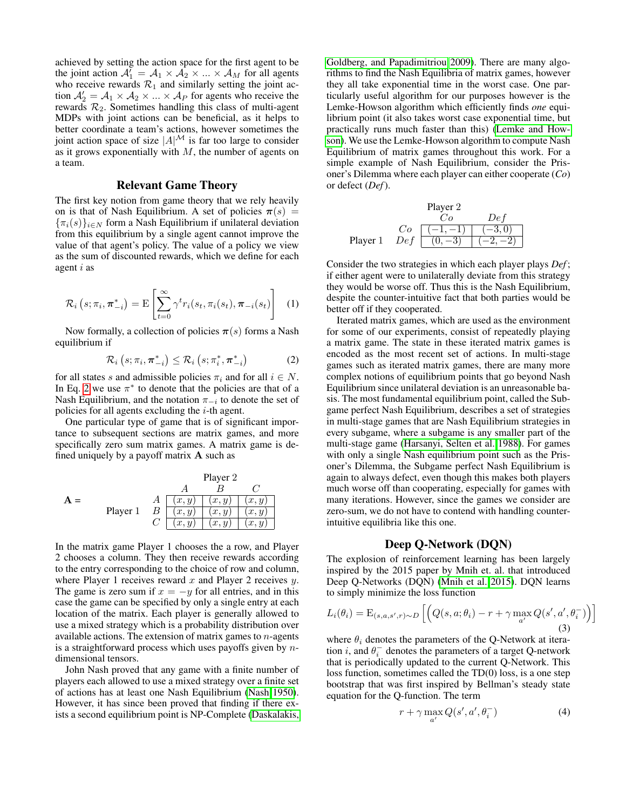achieved by setting the action space for the first agent to be the joint action  $A_1' = A_1 \times A_2 \times ... \times A_M$  for all agents who receive rewards  $\mathcal{R}_1$  and similarly setting the joint action  $A'_2 = A_1 \times A_2 \times ... \times A_p$  for agents who receive the rewards  $\mathcal{R}_2$ . Sometimes handling this class of multi-agent MDPs with joint actions can be beneficial, as it helps to better coordinate a team's actions, however sometimes the joint action space of size  $|A|^{\mathcal{M}}$  is far too large to consider as it grows exponentially with  $M$ , the number of agents on a team.

## Relevant Game Theory

The first key notion from game theory that we rely heavily on is that of Nash Equilibrium. A set of policies  $\pi(s)$  =  ${\{\pi_i(s)\}}_{i \in N}$  form a Nash Equilibrium if unilateral deviation from this equilibrium by a single agent cannot improve the value of that agent's policy. The value of a policy we view as the sum of discounted rewards, which we define for each agent i as

$$
\mathcal{R}_{i}\left(s;\pi_{i},\boldsymbol{\pi}_{-i}^{*}\right)=\mathrm{E}\left[\sum_{t=0}^{\infty}\gamma^{t}r_{i}(s_{t},\pi_{i}(s_{t}),\boldsymbol{\pi}_{-i}(s_{t})\right]
$$
(1)

Now formally, a collection of policies  $\pi(s)$  forms a Nash equilibrium if

<span id="page-1-0"></span>
$$
\mathcal{R}_{i}\left(s;\pi_{i},\boldsymbol{\pi}_{-i}^{*}\right)\leq\mathcal{R}_{i}\left(s;\pi_{i}^{*},\boldsymbol{\pi}_{-i}^{*}\right)
$$
 (2)

for all states s and admissible policies  $\pi_i$  and for all  $i \in N$ . In Eq. [2](#page-1-0) we use  $\pi^*$  to denote that the policies are that of a Nash Equilibrium, and the notation  $\pi_{-i}$  to denote the set of policies for all agents excluding the  $i$ -th agent.

One particular type of game that is of significant importance to subsequent sections are matrix games, and more specifically zero sum matrix games. A matrix game is defined uniquely by a payoff matrix  $\bf{A}$  such as



In the matrix game Player 1 chooses the a row, and Player 2 chooses a column. They then receive rewards according to the entry corresponding to the choice of row and column, where Player 1 receives reward  $x$  and Player 2 receives  $y$ . The game is zero sum if  $x = -y$  for all entries, and in this case the game can be specified by only a single entry at each location of the matrix. Each player is generally allowed to use a mixed strategy which is a probability distribution over available actions. The extension of matrix games to  $n$ -agents is a straightforward process which uses payoffs given by  $n$ dimensional tensors.

John Nash proved that any game with a finite number of players each allowed to use a mixed strategy over a finite set of actions has at least one Nash Equilibrium [\(Nash 1950\)](#page-7-0). However, it has since been proved that finding if there exists a second equilibrium point is NP-Complete [\(Daskalakis,](#page-6-4)

[Goldberg, and Papadimitriou 2009\)](#page-6-4). There are many algorithms to find the Nash Equilibria of matrix games, however they all take exponential time in the worst case. One particularly useful algorithm for our purposes however is the Lemke-Howson algorithm which efficiently finds *one* equilibrium point (it also takes worst case exponential time, but practically runs much faster than this) [\(Lemke and How](#page-6-5)[son\)](#page-6-5). We use the Lemke-Howson algorithm to compute Nash Equilibrium of matrix games throughout this work. For a simple example of Nash Equilibrium, consider the Prisoner's Dilemma where each player can either cooperate (*Co*) or defect (*Def*).

|          |     | Player 2 |              |
|----------|-----|----------|--------------|
|          |     |          | $De^{\cdot}$ |
|          | Cо  |          |              |
| Player 1 | Def |          |              |

Consider the two strategies in which each player plays *Def* ; if either agent were to unilaterally deviate from this strategy they would be worse off. Thus this is the Nash Equilibrium, despite the counter-intuitive fact that both parties would be better off if they cooperated.

Iterated matrix games, which are used as the environment for some of our experiments, consist of repeatedly playing a matrix game. The state in these iterated matrix games is encoded as the most recent set of actions. In multi-stage games such as iterated matrix games, there are many more complex notions of equilibrium points that go beyond Nash Equilibrium since unilateral deviation is an unreasonable basis. The most fundamental equilibrium point, called the Subgame perfect Nash Equilibrium, describes a set of strategies in multi-stage games that are Nash Equilibrium strategies in every subgame, where a subgame is any smaller part of the multi-stage game [\(Harsanyi, Selten et al. 1988\)](#page-6-6). For games with only a single Nash equilibrium point such as the Prisoner's Dilemma, the Subgame perfect Nash Equilibrium is again to always defect, even though this makes both players much worse off than cooperating, especially for games with many iterations. However, since the games we consider are zero-sum, we do not have to contend with handling counterintuitive equilibria like this one.

### Deep Q-Network (DQN)

The explosion of reinforcement learning has been largely inspired by the 2015 paper by Mnih et. al. that introduced Deep Q-Networks (DQN) [\(Mnih et al. 2015\)](#page-7-1). DQN learns to simply minimize the loss function

<span id="page-1-2"></span>
$$
L_i(\theta_i) = \mathrm{E}_{(s,a,s',r) \sim D} \left[ \left( Q(s,a;\theta_i) - r + \gamma \max_{a'} Q(s',a',\theta_i^-) \right) \right]
$$
\n(3)

where  $\theta_i$  denotes the parameters of the Q-Network at iteration *i*, and  $\theta_i^-$  denotes the parameters of a target Q-network that is periodically updated to the current Q-Network. This loss function, sometimes called the TD(0) loss, is a one step bootstrap that was first inspired by Bellman's steady state equation for the Q-function. The term

<span id="page-1-1"></span>
$$
r + \gamma \max_{a'} Q(s', a', \theta_i^{-})
$$
\n(4)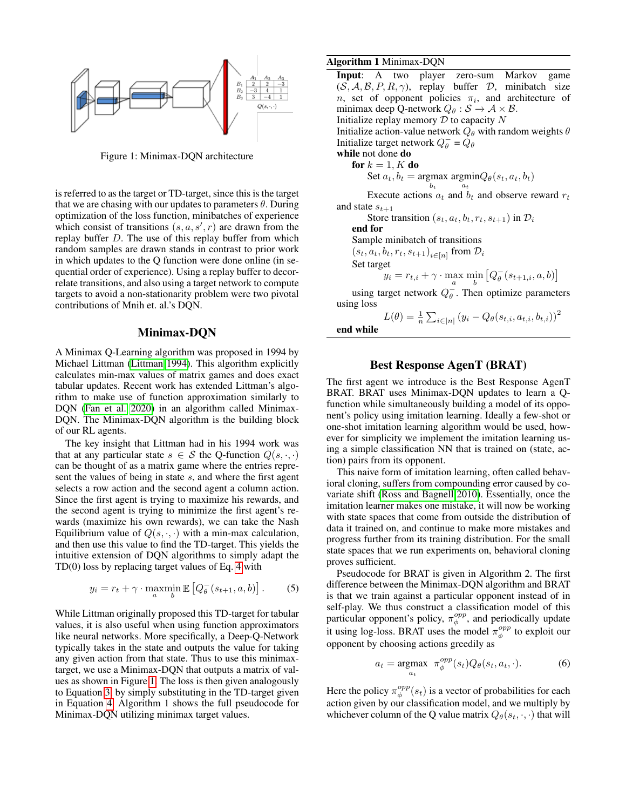<span id="page-2-0"></span>

Figure 1: Minimax-DQN architecture

is referred to as the target or TD-target, since this is the target that we are chasing with our updates to parameters  $\theta$ . During optimization of the loss function, minibatches of experience which consist of transitions  $(s, a, s', r)$  are drawn from the replay buffer D. The use of this replay buffer from which random samples are drawn stands in contrast to prior work in which updates to the Q function were done online (in sequential order of experience). Using a replay buffer to decorrelate transitions, and also using a target network to compute targets to avoid a non-stationarity problem were two pivotal contributions of Mnih et. al.'s DQN.

## Minimax-DQN

A Minimax Q-Learning algorithm was proposed in 1994 by Michael Littman [\(Littman 1994\)](#page-7-2). This algorithm explicitly calculates min-max values of matrix games and does exact tabular updates. Recent work has extended Littman's algorithm to make use of function approximation similarly to DQN [\(Fan et al. 2020\)](#page-6-7) in an algorithm called Minimax-DQN. The Minimax-DQN algorithm is the building block of our RL agents.

The key insight that Littman had in his 1994 work was that at any particular state  $s \in S$  the Q-function  $Q(s, \cdot, \cdot)$ can be thought of as a matrix game where the entries represent the values of being in state s, and where the first agent selects a row action and the second agent a column action. Since the first agent is trying to maximize his rewards, and the second agent is trying to minimize the first agent's rewards (maximize his own rewards), we can take the Nash Equilibrium value of  $Q(s, \cdot, \cdot)$  with a min-max calculation, and then use this value to find the TD-target. This yields the intuitive extension of DQN algorithms to simply adapt the TD(0) loss by replacing target values of Eq. [4](#page-1-1) with

$$
y_i = r_t + \gamma \cdot \operatorname*{maxmin}_{a} \mathbb{E}\left[Q_{\theta}^{-}(s_{t+1}, a, b)\right].
$$
 (5)

While Littman originally proposed this TD-target for tabular values, it is also useful when using function approximators like neural networks. More specifically, a Deep-Q-Network typically takes in the state and outputs the value for taking any given action from that state. Thus to use this minimaxtarget, we use a Minimax-DQN that outputs a matrix of values as shown in Figure [1.](#page-2-0) The loss is then given analogously to Equation [3,](#page-1-2) by simply substituting in the TD-target given in Equation [4.](#page-1-1) Algorithm 1 shows the full pseudocode for Minimax-DQN utilizing minimax target values.

#### Algorithm 1 Minimax-DQN

Input: A two player zero-sum Markov game  $(S, A, B, P, R, \gamma)$ , replay buffer D, minibatch size *n*, set of opponent policies  $\pi_i$ , and architecture of minimax deep Q-network  $Q_{\theta} : \mathcal{S} \to \mathcal{A} \times \mathcal{B}$ . Initialize replay memory  $D$  to capacity  $N$ Initialize action-value network  $Q_{\theta}$  with random weights  $\theta$ Initialize target network  $Q_{\theta}^- = \tilde{Q_{\theta}}$ while not done do for  $k = 1, K$  do Set  $a_t$ ,  $b_t$  = argmax  $b_t$  $\mathop{\mathrm{argmin}}_{a_t} Q_{\theta}(s_t, a_t, b_t)$ Execute actions  $a_t$  and  $b_t$  and observe reward  $r_t$ and state  $s_{t+1}$ Store transition  $(s_t, a_t, b_t, r_t, s_{t+1})$  in  $\mathcal{D}_i$ end for Sample minibatch of transitions  $(s_t, a_t, b_t, r_t, s_{t+1})_{i \in [n]}$  from  $\mathcal{D}_i$ Set target  $y_i = r_{t,i} + \gamma \cdot \max_a \min_b \left[Q_{\theta}^{-}(s_{t+1,i}, a, b)\right]$ 

using target network  $Q_{\theta}^-$ . Then optimize parameters using loss  $\overline{P}$ 

$$
L(\theta) = \frac{1}{n} \sum_{i \in [n]} (y_i - Q_{\theta}(s_{t,i}, a_{t,i}, b_{t,i}))^2
$$
hile

end w

## Best Response AgenT (BRAT)

The first agent we introduce is the Best Response AgenT BRAT. BRAT uses Minimax-DQN updates to learn a Qfunction while simultaneously building a model of its opponent's policy using imitation learning. Ideally a few-shot or one-shot imitation learning algorithm would be used, however for simplicity we implement the imitation learning using a simple classification NN that is trained on (state, action) pairs from its opponent.

This naive form of imitation learning, often called behavioral cloning, suffers from compounding error caused by covariate shift [\(Ross and Bagnell 2010\)](#page-7-3). Essentially, once the imitation learner makes one mistake, it will now be working with state spaces that come from outside the distribution of data it trained on, and continue to make more mistakes and progress further from its training distribution. For the small state spaces that we run experiments on, behavioral cloning proves sufficient.

Pseudocode for BRAT is given in Algorithm 2. The first difference between the Minimax-DQN algorithm and BRAT is that we train against a particular opponent instead of in self-play. We thus construct a classification model of this particular opponent's policy,  $\pi_{\phi}^{opp}$ , and periodically update it using log-loss. BRAT uses the model  $\pi_{\phi}^{opp}$  to exploit our opponent by choosing actions greedily as

$$
a_t = \underset{a_t}{\text{argmax}} \ \pi_{\phi}^{opp}(s_t) Q_{\theta}(s_t, a_t, \cdot). \tag{6}
$$

Here the policy  $\pi_{\phi}^{opp}(s_t)$  is a vector of probabilities for each action given by our classification model, and we multiply by whichever column of the Q value matrix  $Q_{\theta}(s_t, \cdot, \cdot)$  that will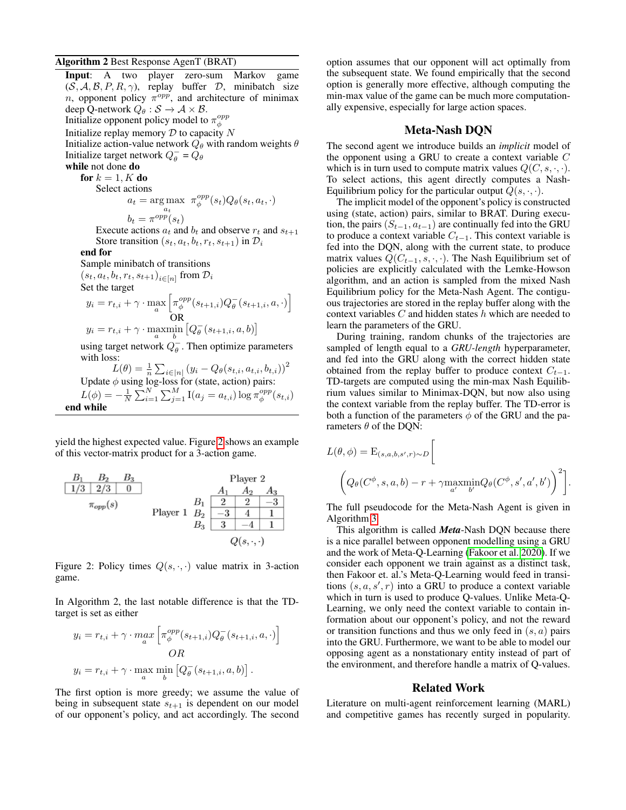#### Algorithm 2 Best Response AgenT (BRAT)

Input: A two player zero-sum Markov game  $(S, \mathcal{A}, \mathcal{B}, P, R, \gamma)$ , replay buffer  $D$ , minibatch size *n*, opponent policy  $\pi^{opp}$ , and architecture of minimax deep Q-network  $Q_{\theta}: \mathcal{S} \to \mathcal{A} \times \mathcal{B}$ . Initialize opponent policy model to  $\pi_{\phi}^{opp}$ Initialize replay memory  $D$  to capacity  $N$ Initialize action-value network  $Q_{\theta}$  with random weights  $\theta$ Initialize target network  $Q_{\theta}^- = Q_{\theta}$ while not done do for  $k = 1, K$  do Select actions  $a_t = \underset{a_t}{\arg \max} \ \pi_{\phi}^{opp}(s_t)Q_{\theta}(s_t, a_t, \cdot)$  $b_t = \pi^{opp}(s_t)$ Execute actions  $a_t$  and  $b_t$  and observe  $r_t$  and  $s_{t+1}$ Store transition  $(s_t, a_t, b_t, r_t, s_{t+1})$  in  $\mathcal{D}_i$ end for Sample minibatch of transitions  $(s_t, a_t, b_t, r_t, s_{t+1})_{i \in [n]}$  from  $\mathcal{D}_i$ Set the target  $y_i = r_{t,i} + \gamma \cdot \max_a$  $\left[\pi^{opp}_{\phi}(s_{t+1,i})Q^{-}_{\theta}(s_{t+1,i}, a, \cdot)\right]$ OR  $y_i = r_{t,i} + \gamma \cdot \max_a \min_b \left[Q_{\theta}^{-}(s_{t+1,i}, a, b)\right]$ using target network  $Q_{\theta}^-$ . Then optimize parameters with loss:  $L(\theta) = \frac{1}{n} \sum_{i \in [n]} (y_i - Q_{\theta}(s_{t,i}, a_{t,i}, b_{t,i}))^2$ Update  $\phi$  using log-loss for (state, action) pairs:  $L(\phi) = -\frac{1}{N} \sum_{i=1}^{N} \sum_{j=1}^{M} \text{I}(a_j = a_{t,i}) \log \pi_{\phi}^{opp}(s_{t,i})$ 

yield the highest expected value. Figure [2](#page-3-0) shows an example of this vector-matrix product for a 3-action game.

end while

<span id="page-3-0"></span>

Figure 2: Policy times  $Q(s, \cdot, \cdot)$  value matrix in 3-action game.

In Algorithm 2, the last notable difference is that the TDtarget is set as either

$$
y_i = r_{t,i} + \gamma \cdot \max_a \left[ \pi_{\phi}^{opp}(s_{t+1,i}) Q_{\theta}^-(s_{t+1,i}, a, \cdot) \right]
$$
  
*OR*  

$$
y_i = r_{t,i} + \gamma \cdot \max_a \min_b \left[ Q_{\theta}^-(s_{t+1,i}, a, b) \right].
$$

The first option is more greedy; we assume the value of being in subsequent state  $s_{t+1}$  is dependent on our model of our opponent's policy, and act accordingly. The second

option assumes that our opponent will act optimally from the subsequent state. We found empirically that the second option is generally more effective, although computing the min-max value of the game can be much more computationally expensive, especially for large action spaces.

## Meta-Nash DQN

The second agent we introduce builds an *implicit* model of the opponent using a GRU to create a context variable  $C$ which is in turn used to compute matrix values  $Q(C, s, \cdot, \cdot)$ . To select actions, this agent directly computes a Nash-Equilibrium policy for the particular output  $Q(s, \cdot, \cdot)$ .

The implicit model of the opponent's policy is constructed using (state, action) pairs, similar to BRAT. During execution, the pairs  $(S_{t-1}, a_{t-1})$  are continually fed into the GRU to produce a context variable  $C_{t-1}$ . This context variable is fed into the DQN, along with the current state, to produce matrix values  $Q(C_{t-1}, s, \cdot, \cdot)$ . The Nash Equilibrium set of policies are explicitly calculated with the Lemke-Howson algorithm, and an action is sampled from the mixed Nash Equilibrium policy for the Meta-Nash Agent. The contiguous trajectories are stored in the replay buffer along with the context variables  $C$  and hidden states  $h$  which are needed to learn the parameters of the GRU.

During training, random chunks of the trajectories are sampled of length equal to a *GRU-length* hyperparameter, and fed into the GRU along with the correct hidden state obtained from the replay buffer to produce context  $C_{t-1}$ . TD-targets are computed using the min-max Nash Equilibrium values similar to Minimax-DQN, but now also using the context variable from the replay buffer. The TD-error is both a function of the parameters  $\phi$  of the GRU and the parameters  $\theta$  of the DQN:

$$
L(\theta, \phi) = \mathcal{E}_{(s,a,b,s',r) \sim D} \left[ \left( Q_{\theta}(C^{\phi}, s, a, b) - r + \gamma \underset{a'}{\text{maxmin}} Q_{\theta}(C^{\phi}, s', a', b') \right)^{2} \right].
$$

The full pseudocode for the Meta-Nash Agent is given in Algorithm [3.](#page-4-0)

This algorithm is called *Meta*-Nash DQN because there is a nice parallel between opponent modelling using a GRU and the work of Meta-Q-Learning [\(Fakoor et al. 2020\)](#page-6-8). If we consider each opponent we train against as a distinct task, then Fakoor et. al.'s Meta-Q-Learning would feed in transitions  $(s, a, s', r)$  into a GRU to produce a context variable which in turn is used to produce Q-values. Unlike Meta-Q-Learning, we only need the context variable to contain information about our opponent's policy, and not the reward or transition functions and thus we only feed in  $(s, a)$  pairs into the GRU. Furthermore, we want to be able to model our opposing agent as a nonstationary entity instead of part of the environment, and therefore handle a matrix of Q-values.

### Related Work

Literature on multi-agent reinforcement learning (MARL) and competitive games has recently surged in popularity.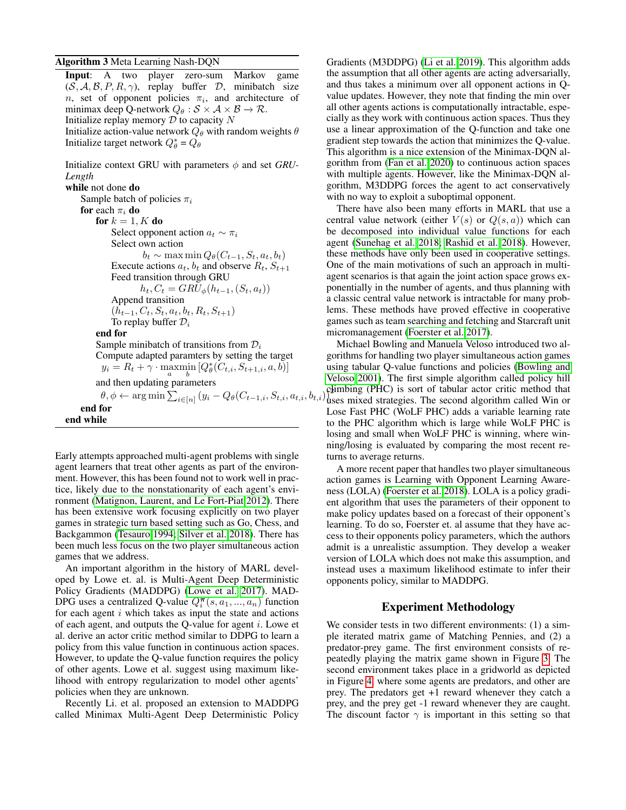### <span id="page-4-0"></span>Algorithm 3 Meta Learning Nash-DQN

Input: A two player zero-sum Markov game  $(S, A, B, P, R, \gamma)$ , replay buffer D, minibatch size n, set of opponent policies  $\pi_i$ , and architecture of minimax deep Q-network  $Q_{\theta} : \mathcal{S} \times \mathcal{A} \times \mathcal{B} \rightarrow \mathcal{R}$ . Initialize replay memory  $D$  to capacity  $N$ Initialize action-value network  $Q_{\theta}$  with random weights  $\theta$ Initialize target network  $Q_{\theta}^* = Q_{\theta}$ 

Initialize context GRU with parameters  $\phi$  and set *GRU*-*Length*

while not done do Sample batch of policies  $\pi_i$ for each  $\pi_i$  do for  $k = 1, K$  do Select opponent action  $a_t \sim \pi_i$ Select own action  $b_t \sim \max \min Q_{\theta}(C_{t-1}, S_t, a_t, b_t)$ Execute actions  $a_t$ ,  $b_t$  and observe  $R_t$ ,  $S_{t+1}$ Feed transition through GRU  $h_t, C_t = GRU_{\phi}(h_{t-1}, (S_t, a_t))$ Append transition  $(h_{t-1}, C_t, S_t, a_t, b_t, R_t, S_{t+1})$ To replay buffer  $\mathcal{D}_i$ end for Sample minibatch of transitions from  $\mathcal{D}_i$ Compute adapted paramters by setting the target  $y_i = R_t + \gamma \cdot \max_a \min_b \left[ Q^*_\theta(C_{t,i}, S_{t+1,i}, a, b) \right]$ and then updating parameters  $\theta, \phi \leftarrow \argmin \sum_{i \in [n]} (y_i - Q_{\theta}(C_{t-1,i},S_{t,i},a_{t,i},b_{t,i}))^{\text{C2}}_{\text{BS}}$ end for end while

Early attempts approached multi-agent problems with single agent learners that treat other agents as part of the environment. However, this has been found not to work well in practice, likely due to the nonstationarity of each agent's environment [\(Matignon, Laurent, and Le Fort-Piat 2012\)](#page-7-4). There has been extensive work focusing explicitly on two player games in strategic turn based setting such as Go, Chess, and Backgammon [\(Tesauro 1994;](#page-7-5) [Silver et al. 2018\)](#page-7-6). There has been much less focus on the two player simultaneous action games that we address.

An important algorithm in the history of MARL developed by Lowe et. al. is Multi-Agent Deep Deterministic Policy Gradients (MADDPG) [\(Lowe et al. 2017\)](#page-7-7). MAD-DPG uses a centralized Q-value  $Q_i^{\pi}(s, a_1, ..., a_n)$  function for each agent  $i$  which takes as input the state and actions of each agent, and outputs the Q-value for agent  $i$ . Lowe et al. derive an actor critic method similar to DDPG to learn a policy from this value function in continuous action spaces. However, to update the Q-value function requires the policy of other agents. Lowe et al. suggest using maximum likelihood with entropy regularization to model other agents' policies when they are unknown.

Recently Li. et al. proposed an extension to MADDPG called Minimax Multi-Agent Deep Deterministic Policy

Gradients (M3DDPG) [\(Li et al. 2019\)](#page-6-9). This algorithm adds the assumption that all other agents are acting adversarially, and thus takes a minimum over all opponent actions in Qvalue updates. However, they note that finding the min over all other agents actions is computationally intractable, especially as they work with continuous action spaces. Thus they use a linear approximation of the Q-function and take one gradient step towards the action that minimizes the Q-value. This algorithm is a nice extension of the Minimax-DQN algorithm from [\(Fan et al. 2020\)](#page-6-7) to continuous action spaces with multiple agents. However, like the Minimax-DQN algorithm, M3DDPG forces the agent to act conservatively with no way to exploit a suboptimal opponent.

There have also been many efforts in MARL that use a central value network (either  $V(s)$  or  $Q(s, a)$ ) which can be decomposed into individual value functions for each agent [\(Sunehag et al. 2018;](#page-7-8) [Rashid et al. 2018\)](#page-7-9). However, these methods have only been used in cooperative settings. One of the main motivations of such an approach in multiagent scenarios is that again the joint action space grows exponentially in the number of agents, and thus planning with a classic central value network is intractable for many problems. These methods have proved effective in cooperative games such as team searching and fetching and Starcraft unit micromanagement [\(Foerster et al. 2017\)](#page-6-10).

Michael Bowling and Manuela Veloso introduced two algorithms for handling two player simultaneous action games using tabular Q-value functions and policies [\(Bowling and](#page-6-11) [Veloso 2001\)](#page-6-11). The first simple algorithm called policy hill climbing (PHC) is sort of tabular actor critic method that uses mixed strategies. The second algorithm called Win or Lose Fast PHC (WoLF PHC) adds a variable learning rate to the PHC algorithm which is large while WoLF PHC is losing and small when WoLF PHC is winning, where winning/losing is evaluated by comparing the most recent returns to average returns.

A more recent paper that handles two player simultaneous action games is Learning with Opponent Learning Awareness (LOLA) [\(Foerster et al. 2018\)](#page-6-12). LOLA is a policy gradient algorithm that uses the parameters of their opponent to make policy updates based on a forecast of their opponent's learning. To do so, Foerster et. al assume that they have access to their opponents policy parameters, which the authors admit is a unrealistic assumption. They develop a weaker version of LOLA which does not make this assumption, and instead uses a maximum likelihood estimate to infer their opponents policy, similar to MADDPG.

## Experiment Methodology

We consider tests in two different environments: (1) a simple iterated matrix game of Matching Pennies, and (2) a predator-prey game. The first environment consists of repeatedly playing the matrix game shown in Figure [3.](#page-5-0) The second environment takes place in a gridworld as depicted in Figure [4,](#page-5-1) where some agents are predators, and other are prey. The predators get +1 reward whenever they catch a prey, and the prey get -1 reward whenever they are caught. The discount factor  $\gamma$  is important in this setting so that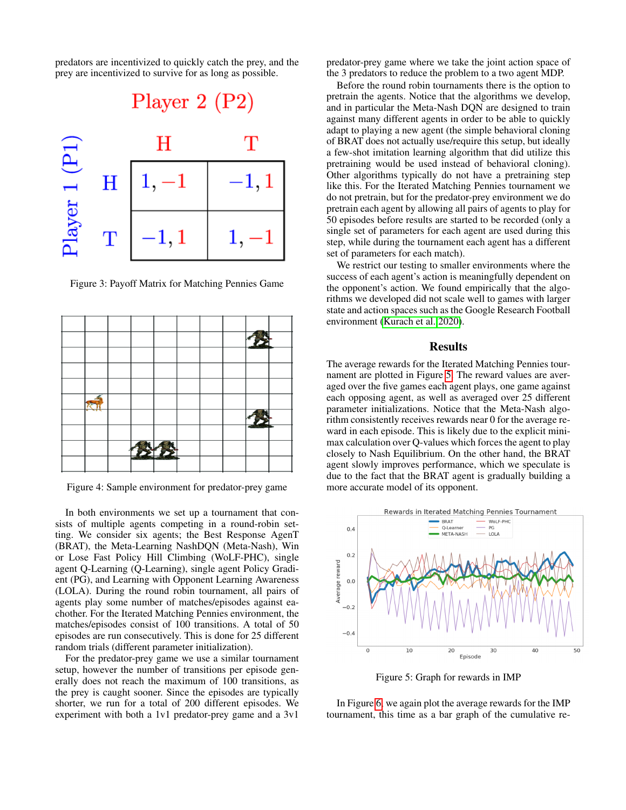predators are incentivized to quickly catch the prey, and the prey are incentivized to survive for as long as possible.

<span id="page-5-0"></span>

Figure 3: Payoff Matrix for Matching Pennies Game

<span id="page-5-1"></span>

Figure 4: Sample environment for predator-prey game

In both environments we set up a tournament that consists of multiple agents competing in a round-robin setting. We consider six agents; the Best Response AgenT (BRAT), the Meta-Learning NashDQN (Meta-Nash), Win or Lose Fast Policy Hill Climbing (WoLF-PHC), single agent Q-Learning (Q-Learning), single agent Policy Gradient (PG), and Learning with Opponent Learning Awareness (LOLA). During the round robin tournament, all pairs of agents play some number of matches/episodes against eachother. For the Iterated Matching Pennies environment, the matches/episodes consist of 100 transitions. A total of 50 episodes are run consecutively. This is done for 25 different random trials (different parameter initialization).

For the predator-prey game we use a similar tournament setup, however the number of transitions per episode generally does not reach the maximum of 100 transitions, as the prey is caught sooner. Since the episodes are typically shorter, we run for a total of 200 different episodes. We experiment with both a 1v1 predator-prey game and a 3v1

predator-prey game where we take the joint action space of the 3 predators to reduce the problem to a two agent MDP.

Before the round robin tournaments there is the option to pretrain the agents. Notice that the algorithms we develop, and in particular the Meta-Nash DQN are designed to train against many different agents in order to be able to quickly adapt to playing a new agent (the simple behavioral cloning of BRAT does not actually use/require this setup, but ideally a few-shot imitation learning algorithm that did utilize this pretraining would be used instead of behavioral cloning). Other algorithms typically do not have a pretraining step like this. For the Iterated Matching Pennies tournament we do not pretrain, but for the predator-prey environment we do pretrain each agent by allowing all pairs of agents to play for 50 episodes before results are started to be recorded (only a single set of parameters for each agent are used during this step, while during the tournament each agent has a different set of parameters for each match).

We restrict our testing to smaller environments where the success of each agent's action is meaningfully dependent on the opponent's action. We found empirically that the algorithms we developed did not scale well to games with larger state and action spaces such as the Google Research Football environment [\(Kurach et al. 2020\)](#page-6-13).

### Results

The average rewards for the Iterated Matching Pennies tournament are plotted in Figure [5.](#page-5-2) The reward values are averaged over the five games each agent plays, one game against each opposing agent, as well as averaged over 25 different parameter initializations. Notice that the Meta-Nash algorithm consistently receives rewards near 0 for the average reward in each episode. This is likely due to the explicit minimax calculation over Q-values which forces the agent to play closely to Nash Equilibrium. On the other hand, the BRAT agent slowly improves performance, which we speculate is due to the fact that the BRAT agent is gradually building a more accurate model of its opponent.

<span id="page-5-2"></span>

Figure 5: Graph for rewards in IMP

In Figure [6,](#page-6-14) we again plot the average rewards for the IMP tournament, this time as a bar graph of the cumulative re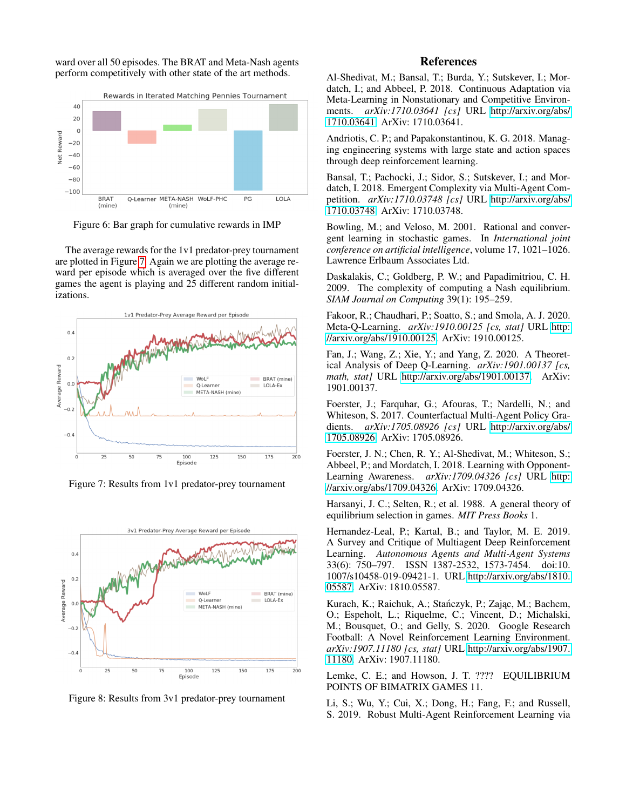ward over all 50 episodes. The BRAT and Meta-Nash agents perform competitively with other state of the art methods.

<span id="page-6-14"></span>

Figure 6: Bar graph for cumulative rewards in IMP

The average rewards for the 1v1 predator-prey tournament are plotted in Figure [7.](#page-6-15) Again we are plotting the average reward per episode which is averaged over the five different games the agent is playing and 25 different random initializations.

<span id="page-6-15"></span>

Figure 7: Results from 1v1 predator-prey tournament



Figure 8: Results from 3v1 predator-prey tournament

## References

<span id="page-6-1"></span>Al-Shedivat, M.; Bansal, T.; Burda, Y.; Sutskever, I.; Mordatch, I.; and Abbeel, P. 2018. Continuous Adaptation via Meta-Learning in Nonstationary and Competitive Environments. *arXiv:1710.03641 [cs]* URL [http://arxiv.org/abs/](http://arxiv.org/abs/1710.03641) [1710.03641.](http://arxiv.org/abs/1710.03641) ArXiv: 1710.03641.

<span id="page-6-3"></span>Andriotis, C. P.; and Papakonstantinou, K. G. 2018. Managing engineering systems with large state and action spaces through deep reinforcement learning.

<span id="page-6-2"></span>Bansal, T.; Pachocki, J.; Sidor, S.; Sutskever, I.; and Mordatch, I. 2018. Emergent Complexity via Multi-Agent Competition. *arXiv:1710.03748 [cs]* URL [http://arxiv.org/abs/](http://arxiv.org/abs/1710.03748) [1710.03748.](http://arxiv.org/abs/1710.03748) ArXiv: 1710.03748.

<span id="page-6-11"></span>Bowling, M.; and Veloso, M. 2001. Rational and convergent learning in stochastic games. In *International joint conference on artificial intelligence*, volume 17, 1021–1026. Lawrence Erlbaum Associates Ltd.

<span id="page-6-4"></span>Daskalakis, C.; Goldberg, P. W.; and Papadimitriou, C. H. 2009. The complexity of computing a Nash equilibrium. *SIAM Journal on Computing* 39(1): 195–259.

<span id="page-6-8"></span>Fakoor, R.; Chaudhari, P.; Soatto, S.; and Smola, A. J. 2020. Meta-Q-Learning. *arXiv:1910.00125 [cs, stat]* URL [http:](http://arxiv.org/abs/1910.00125) [//arxiv.org/abs/1910.00125.](http://arxiv.org/abs/1910.00125) ArXiv: 1910.00125.

<span id="page-6-7"></span>Fan, J.; Wang, Z.; Xie, Y.; and Yang, Z. 2020. A Theoretical Analysis of Deep Q-Learning. *arXiv:1901.00137 [cs, math, stat]* URL [http://arxiv.org/abs/1901.00137.](http://arxiv.org/abs/1901.00137) ArXiv: 1901.00137.

<span id="page-6-10"></span>Foerster, J.; Farquhar, G.; Afouras, T.; Nardelli, N.; and Whiteson, S. 2017. Counterfactual Multi-Agent Policy Gradients. *arXiv:1705.08926 [cs]* URL [http://arxiv.org/abs/](http://arxiv.org/abs/1705.08926) [1705.08926.](http://arxiv.org/abs/1705.08926) ArXiv: 1705.08926.

<span id="page-6-12"></span>Foerster, J. N.; Chen, R. Y.; Al-Shedivat, M.; Whiteson, S.; Abbeel, P.; and Mordatch, I. 2018. Learning with Opponent-Learning Awareness. *arXiv:1709.04326 [cs]* URL [http:](http://arxiv.org/abs/1709.04326) [//arxiv.org/abs/1709.04326.](http://arxiv.org/abs/1709.04326) ArXiv: 1709.04326.

<span id="page-6-6"></span>Harsanyi, J. C.; Selten, R.; et al. 1988. A general theory of equilibrium selection in games. *MIT Press Books* 1.

<span id="page-6-0"></span>Hernandez-Leal, P.; Kartal, B.; and Taylor, M. E. 2019. A Survey and Critique of Multiagent Deep Reinforcement Learning. *Autonomous Agents and Multi-Agent Systems* 33(6): 750–797. ISSN 1387-2532, 1573-7454. doi:10. 1007/s10458-019-09421-1. URL [http://arxiv.org/abs/1810.](http://arxiv.org/abs/1810.05587) [05587.](http://arxiv.org/abs/1810.05587) ArXiv: 1810.05587.

<span id="page-6-13"></span>Kurach, K.; Raichuk, A.; Stańczyk, P.; Zając, M.; Bachem, O.; Espeholt, L.; Riquelme, C.; Vincent, D.; Michalski, M.; Bousquet, O.; and Gelly, S. 2020. Google Research Football: A Novel Reinforcement Learning Environment. *arXiv:1907.11180 [cs, stat]* URL [http://arxiv.org/abs/1907.](http://arxiv.org/abs/1907.11180) [11180.](http://arxiv.org/abs/1907.11180) ArXiv: 1907.11180.

<span id="page-6-5"></span>Lemke, C. E.; and Howson, J. T. ???? EQUILIBRIUM POINTS OF BIMATRIX GAMES 11.

<span id="page-6-9"></span>Li, S.; Wu, Y.; Cui, X.; Dong, H.; Fang, F.; and Russell, S. 2019. Robust Multi-Agent Reinforcement Learning via